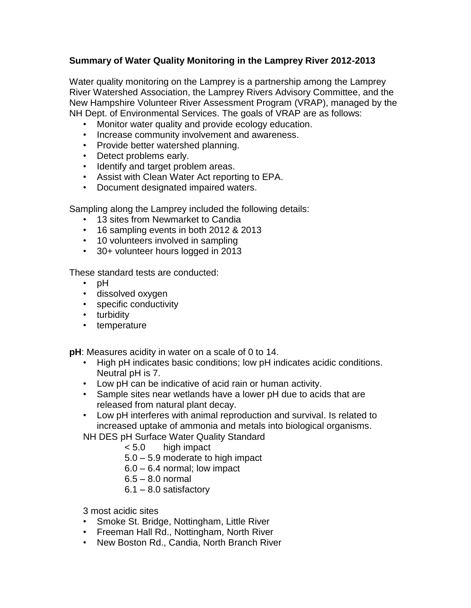## **Summary of Water Quality Monitoring in the Lamprey River 2012-2013**

Water quality monitoring on the Lamprey is a partnership among the Lamprey River Watershed Association, the Lamprey Rivers Advisory Committee, and the New Hampshire Volunteer River Assessment Program (VRAP), managed by the NH Dept. of Environmental Services. The goals of VRAP are as follows:

- Monitor water quality and provide ecology education.
- Increase community involvement and awareness.
- Provide better watershed planning.
- Detect problems early.
- Identify and target problem areas.
- Assist with Clean Water Act reporting to EPA.
- Document designated impaired waters.

Sampling along the Lamprey included the following details:

- 13 sites from Newmarket to Candia
- 16 sampling events in both 2012 & 2013
- 10 volunteers involved in sampling
- 30+ volunteer hours logged in 2013

These standard tests are conducted:

- pH
- dissolved oxygen
- specific conductivity
- turbidity
- temperature

**pH**: Measures acidity in water on a scale of 0 to 14.

- High pH indicates basic conditions; low pH indicates acidic conditions. Neutral pH is 7.
- Low pH can be indicative of acid rain or human activity.
- Sample sites near wetlands have a lower pH due to acids that are released from natural plant decay.
- Low pH interferes with animal reproduction and survival. Is related to increased uptake of ammonia and metals into biological organisms.

NH DES pH Surface Water Quality Standard

- < 5.0 high impact
- 5.0 5.9 moderate to high impact
- 6.0 6.4 normal; low impact
- 6.5 8.0 normal
- $6.1 8.0$  satisfactory

3 most acidic sites

- Smoke St. Bridge, Nottingham, Little River
- Freeman Hall Rd., Nottingham, North River
- New Boston Rd., Candia, North Branch River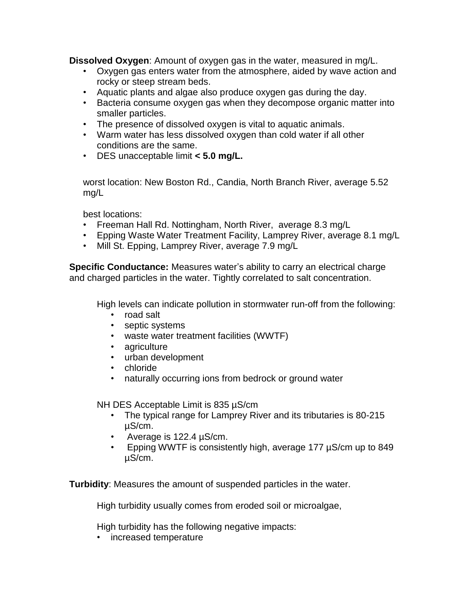**Dissolved Oxygen**: Amount of oxygen gas in the water, measured in mg/L.

- Oxygen gas enters water from the atmosphere, aided by wave action and rocky or steep stream beds.
- Aquatic plants and algae also produce oxygen gas during the day.
- Bacteria consume oxygen gas when they decompose organic matter into smaller particles.
- The presence of dissolved oxygen is vital to aquatic animals.
- Warm water has less dissolved oxygen than cold water if all other conditions are the same.
- DES unacceptable limit **< 5.0 mg/L.**

worst location: New Boston Rd., Candia, North Branch River, average 5.52 mg/L

best locations:

- Freeman Hall Rd. Nottingham, North River, average 8.3 mg/L
- Epping Waste Water Treatment Facility, Lamprey River, average 8.1 mg/L
- Mill St. Epping, Lamprey River, average 7.9 mg/L

**Specific Conductance:** Measures water's ability to carry an electrical charge and charged particles in the water. Tightly correlated to salt concentration.

High levels can indicate pollution in stormwater run-off from the following:

- road salt
- septic systems
- waste water treatment facilities (WWTF)
- agriculture
- urban development
- chloride
- naturally occurring ions from bedrock or ground water

NH DES Acceptable Limit is 835 µS/cm

- The typical range for Lamprey River and its tributaries is 80-215 µS/cm.
- Average is 122.4 µS/cm.
- Epping WWTF is consistently high, average 177 µS/cm up to 849 µS/cm.

**Turbidity**: Measures the amount of suspended particles in the water.

High turbidity usually comes from eroded soil or microalgae,

High turbidity has the following negative impacts:

• increased temperature